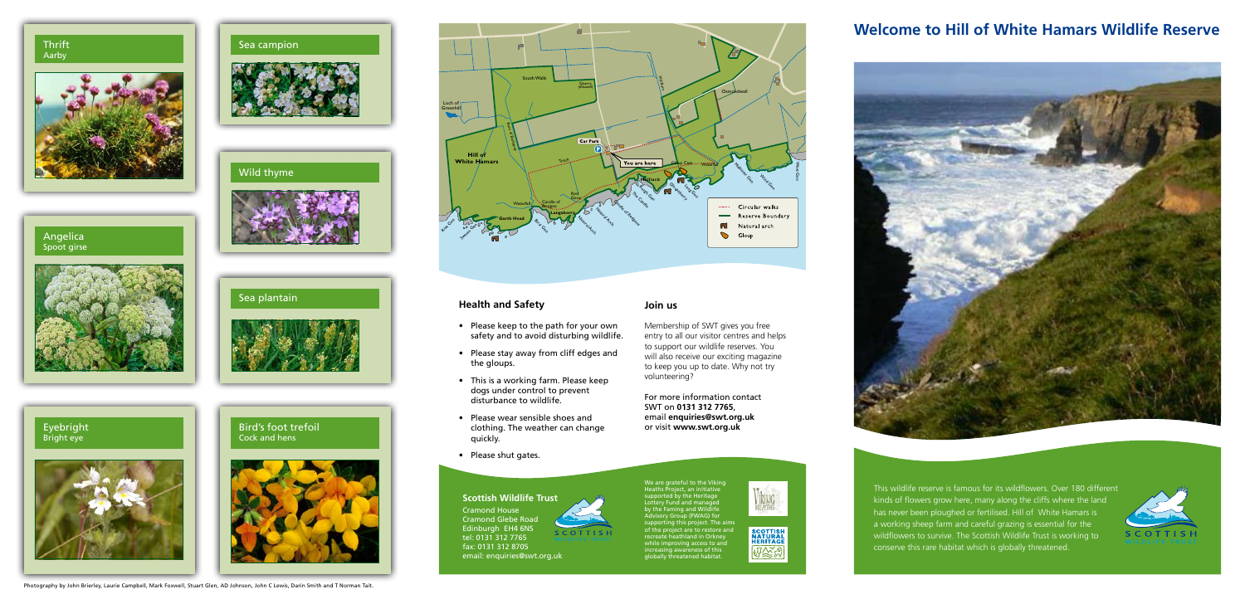

**Join us**

Membership of SWT gives you free entry to all our visitor centres and helps to support our wildlife reserves. You will also receive our exciting magazine to keep you up to date. Why not try

volunteering?



# **SCOTTISH**

For more information contact

SWT on **0131 312 7765**, email **enquiries@swt.org.uk**

## Cock and hens



#### **Health and Safety**

- • Please keep to the path for your own safety and to avoid disturbing wildlife.
- • Please stay away from cliff edges and the gloups.
- • This is a working farm. Please keep dogs under control to prevent disturbance to wildlife.
- Bird's foot trefoil **or a clothing.** The weather can change or visit www.swt.org.uk • Please wear sensible shoes and quickly.
	- • Please shut gates.

#### **Scottish Wildlife Trust**

Cramond House Cramond Glebe Road Edinburgh EH4 6NS tel: 0131 312 7765 fax: 0131 312 8705 email: enquiries@swt.org.uk

### **Welcome to Hill of White Hamars Wildlife Reserve**



This wildlife reserve is famous for its wildflowers. Over 180 different kinds of flowers grow here, many along the cliffs where the land has never been ploughed or fertilised. Hill of White Hamars is a working sheep farm and careful grazing is essential for the wildflowers to survive. The Scottish Wildlife Trust is working to conserve this rare habitat which is globally threatened.



Sea campion

Wild thyme

#### Angelica Spoot girse



#### Thrift Aarby









We are grateful to the Viking Heaths Project, an initiative upported by the Heritage Lottery Fund and managed by the Faming and Wildlife ,<br>dvisory Group (FWAG) for supporting this project. The aims of the project are to restore and recreate heathland in Orkney while improving access to and increasing awareness of this

globally threatened habitat.



Photography by John Brierley, Laurie Campbell, Mark Foxwell, Stuart Glen, AD Johnson, John C Lewis, Darin Smith and T Norman Tait.